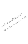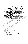## บรรณานุกรม

กิติพันธ์ รุจิรกุล. (2529)**. พฤติกรรมผู้นำท**างการศึกษา. กรุงเทพฯ : โอเดียนสโตว์. เกรียงศักดิ์ เลาหะวัฒน์ (2537). การศึกษาความสัมพันธ์ระหว่างพฤติกรรมผู้นำของ ผู้บริหารโรงเรียนกับบรรยากาศองค์การโรงเรียนประถมศึกษา สังกัดสำนักงาน การประถมศึกษาจังหวัดชุมพร. วิทยานิพนธ์ปริญญามหาบัณฑิต ภาควิชา การบริหารการศึกษา บัณฑิตวิทยาลัย มหาวิทยาลัยศรีนครินทรวิโรฒภาคใต้. จรรยงค์ งามญาติ. (2519). **ความสัมพันธ์ระหว่างลักษณะผู้นำของอาจารย์ใหญ่กับ บรรยากาศองค์การของโรงเรียนมัธยมศึกษาในกรุงเทพมหานคร**. วิทยานิพนธ์ ปริญญามหาบัณฑิต ภาควิชาการบริหารการศึกษา บัณฑิตวิทยาลัย มหาวิทิยาลัย ศรีนครินทรวิโรฒ ประสานมิตร. จำนง สมประสงค์. (2524). ก**ารบริหารการศึกษ**า. กรุงเทพฯ : รุ่งเรืองการพิมพ์. ชุมพล ปาละกวงศ์ ณ อยุชยา. (2527). บรรยากาศองค์การโรงเรียนและพฤติกรรมผู้นำ ของครูใหญ่โรงเรียนมัธยมศึกษา สังกัดกรุงสามัญศึกษา เขตการศึกษา 12. วิทยานิพนธ์ปริญญามหาบัญชิต ภาชวิชาที่งานชิงชากรศึกษา บัณฑิตวิทยาลัยธ มหาวิทยาลัยศรีนครินทรวิโรศ: บางแสน. ณรงค์ จันทชุม (2531). การศึกษาดิจามตัมพันธ์ระหว่างแบบผู้นำของผู้บริหาจอนิยความ ทึ่งพอใจในการที่งงานของครูโรงเรียนมัธยมศึกษา เหตุการศึกษา 10. วิทยานิชนธ์บริญญามหาบัณฑิต ภาควิชาการษรหาวิทารธิ์หษา บัณฑิตวิทยาลัย มพิววิทยาลัยศรีนครินวิโรฒ มหาสารคาม... ( ถลัด เกื้อคูลวงศ์ (2530). การบริหารการศึกษาสมัยใหม่. กรุงเทพฯ : วัฒนาพาณิช. ส์อิงศรีสำภู ณ อยุธยา. (2526). บรรยาสงคองที่คาร. วารสา**รวิชาการ สภาอาจารย์สถาบัน** บัณฑิตพัฒนาบริหารศาสตร์ ปีที่ 1 ฉบับที่ 1. ทองอินทร์ วงศ์โสธร. (2523) นิวาระผู้นำ". แอกสารการสอนชุดวิชาหลักและระบบการบริหาร การศึกษาได้มีที่2 มหาวิทยาลัยสุโขทัยธรรมาธิราช. กรุงเทพฯ : อมรินทร์การพิมพ์. ทำนอง ช่อชิ (2537) การศึกษาบรรยากาศองค์การของโรงเรียนมัธยมศึกษา สังกัดกรมสามัญ <sub>เ</sub>สิกษา จังหวั**ดสงขลา.** วิทยานิพนธ์ปริญญามหาบัณฑิต ภาควิชาการบริหารการศึกษา บัณฑิตวิทยาลัย มหาวิทยาลัยศรีนครินวิโรฒ ภาคใต้. .<br>ชิวชัย สันติวงศ์. (2523). **องค์การและการบริหาร. พิมพ์กรั้ง**ที่ 4. กรุงเทพฯ : ไทยวัฒนาพาณิช. ธรรมรส โชติกุญชร. (2528). "ภาวะผู้นำกับการพัฒนาบุคลิกภาพ". เอกสารการสอนชุดวิชา ้ฝึกอบรมผู้บริหารสถานศึกษาระดับประถมศึกษา มหาวิทยาลัยสุโขทัยธรรมาธิราช.

กรุงเทพฯ : รุ่งศิลป์การพิมพ์.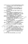ช้ารงศักดิ์ เจริญสุข. (2525). บรรยากาศองค์การของโรงเรียนประถมศึกษา เขตการศึกษา 6. วิทยานิพนธ์ปริญญามหาบัณฑิต ภาควิชาบริหารการศึกษา บัณฑิตวิทยาลัย จพาลงกรณ์มหาวิทยาลัย.

ธีระ รุญเจริญ. (2511). **ระบบพฤติกรรมในการบริหารของสถานผึกหัดค<u>ร</u>. กรุ**งเทพฯ : วิทยานิพนธ์ปริญญามหาบัณฑิต ภาควิชาบริหารการศึกษา บัณฑิตวิทยาลัย จุฬาลงกรณ์มหาวิทยาลัย.

นพพงษ์ บุญจิตราดุลย์. (2522). **หลักการบริหารการศึกษา.** พิมพ์ครั้งที่ 3. กรุงเทพฯ : อนงค์ศิลป์การพิมพ์.

นาค เกินชัย. (2531). **ความสัมพันธ์ระหว่างแบบผู้นำของผู้อำนวยการกับบรร**ยากาศ องค์การวิทยาลัยพลศึกษา. วิทยานิพนธ์ปริญญามหาบัณฑิต ภาควิชากังรับริหาร การศึกษา บัณฑิตวิทยาลัย มหาวิทยาลัยศรีนครินทรวิโรฒ มหาสูงสุดาม.

นิพนธ์ ศศิธร. (2520). การจัดระเบียบองค์การ. กรุงเทพฯ : โรงพิมพ์ประชานมิตร.

นิโรธ งะสมัน. (2527). กา**รศึกษาพฤติกรรมผู้นำขอ**งผู้บริหารโร้งเรียนตามความต้องการ ของครูในโรงเรียนมัธยมศึกษา สังทัตถุรมสามัญศึกษา เขตการศึกษา 2. วิทยานิพนธ์ปริญญามหาบัญชีด อาจุวิชากิจบริหันภารศึกษา บัณฑิตวิทยาลัย( มหาวิทยาลัยศรีนครินทรวิโรณ สิงขลว

บรรพด วีระสัย. (2528) "ปัจจัยเกี่ยวกับกลาเป็นผู้นำ". เอกสารการสอน์ชุดวิชาหัสแนศึกษา มหาวิทยาลัยสุโขทัยธรรมาธิราช. กรุงเทพฯ : บุริษัทฮรุสิงาชนจำกัด.

บุญลิทธิ์ บัวบาน (2526) ความสัมพันธ์ระหว่างพฤติกรรมผู้ทำของหัวหน้าภาควิชากับ ยิ่งระบิกาศองค์การของภาควิชา ของมหาวิทยาลัยสงขลานครินทร์.

า<br>จิทยานิพนธ์ปริญญามหาบัณฑิต กาควิชาบริหารการศึกษา **บัณฑิตวิทยาลัย**<br>จุพาลงกรณ์มหาวิทยาลัย จุฬาลงกรณ์มหาวิทยาลัย

ประกอง กรรณสูตร. (2538). สถิติสุกุลศรัประยุกต์**สำหรับครู. กรุงเทพฯ : ไทยวัฒนาพาณิช.** ์<br>ประชุม รอดประเสริฐ. (2526) - ผู้นำและพฤ**ติกรรมการบริหารงาน.** กรุงเทพฯ : ภาควิชาการ บริหาร ต้อนทักษาศาสตร์ มหาวิทยาลัยศรีนครินทรวิโรฒ ประสานมิตร.

ประไพ ตัวกิรัมญิชิติ์. (2529). **ความสัมพันธ์ระหว่างลักษณะพฤติกรรมของผู้บริหารและ** ่∕ช้าจารย์กับบ**รรยากาศองค์การ ในมหาวิทยาลัยสาธารณสุข.** วิทยานิพนธ์ ปริญญามหาบัณฑิต ภาควิชาบริหารการศึกษา บัณฑิตวิทยาลัย จุฬาลงกรณ์ มหาวิทยาลัย.

พนัส หันนาคินทร์. (2524). หลักการบริหารโรงเรียน. กรุงเทพฯ : วัฒนพานิช.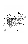พัชรี ศรีจันทร์งาม. (2538). การศึกษาบรรยากาศองค์การของโรงเรียนประถมศึกษา ขนาดใหญ่ สังกัดกรุงเทพมหานคร. วิทยานิพนช์ปริญญามหาบัณฑิต ภาควิชาบริหารการศึกษา บัณฑิตวิทยาลัย จุหาลงกรณ์มหาวิทยาลัย.

พูนทรัพย์ ดีมาก ร.ด.อ.หญิง.(2527) **ความสัมพันธ์ระหว่างพฤติกรรมผู้นำของผู้บริห**าร วิทยาลัยพยาบาลกับบรรยากาศองค์การในสังกัดกองงานวิทยาลัยพยาบาล กระทรวงสาธารณสุข. วิทยานิพนธ์ปริญญามหาบัณฑิต ภาควิชาบริหารการศึกษา บัณฑิตวิทยาลัย จุ**พ**าลงกรณ์มหาวิทยาลัย

ไพฑูรย์ เจริญพันธุวงศ์. (2527). การบริหารการศึกษา. กรุงเทพฯ : โอเดียนสโตร์.

ไพพรรณ มูสิกสาร. (2517). ความสัมพันธ์ระหว่างสถานภาพส่วนตัวของอาจารย์ใหญ่ โรงเรียนมัธยมแบบประสมกับบรรยากาศองค์การของโรงเรียน $_{\rm{max}}$ **วิทยานิพนธ์ปริญญามหาบัณฑิต ภาควิชาการบริหารการ**ศึกษาศัณฑ์ดูริทยาลัย มหาวิทยาลัยศรีนครินทรวิโรฒ ประสานมิตร.

ใพโรจน์ สีตปรีชา. (2512). "เรื่องของหัวหน้างาน" วารสารชั้นช่วงสาร. 1 : 39 – 45 ; พถศจิกายน.

ใพศิลป์ แหล่งสนาม. (2531). ความสัญชันส์ระพวกงพฤติกรรมผู้นำของผู้บริหารสกาปัน การศึกษาพยาบาลกับบลุระกพิเดองค์การของสถาบันการศึกษาหยาบาลทั้งกัด กระทรวงกลาโหมะ จิทยิ่งนี้พันธ์ปริญญามหาบัณฑิต. ภาควิชาบริหารศักษา บัณฑิสติทยาลัย จุฬาลงกรณ์มหาวิทยาลัย.

ภิญโญ สาธร. (2518) ทิลัยบริหารการศึกษา. กรุงเทพฯ ซึ่งยิวัฒนาพานิช. มานุพ. ดีมี. (2836). บรรยากาศโรงเรียนมัธยมศึกษา สั่งที่ตักรมสามัญ**ศึกษา : ศึกษา** งฉพาะกรณีจังหวัดสุโขทัย. วิทยานิพนธ์ปริญญามหาบัณฑิต ภาควิชาการบริหาร การศึกษา บัณฑิตวิทยาลัย มหาวิทยาลัยนเรศวร.

ัชริน จองไพจิตรสกุล. (2524) ปัสริมากาศอง<mark>ด์การของโรงเรียนประถมศึกษาที่เลือกสรร</mark> ของรัฐในเสตนานิการศึกษา 2523. วิทยานิพนธ์ปริญญามหาบัณฑิต ภาควิชาการปริหารการศึกษา บัณฑิตวิทยาลัย มหาวิทยาลัยศรีนครินทรวิโรฒ ประสานมิตร.

วิเชียร์ ไปดี้ยัวจิตร์. (2523). ความสัมพันธ์ระหว่างพฤติกรรมผู้นำของผู้บริหารระดับกอง ของกระทรวงศึกษาธิการกับบรรยากาศขององค์การ. วิทยานิพนธ์ปริญญา มหาบัณฑิต ภาควิชาการบริหารการศึกษา บัณฑิตวิทยาลัย มหาวิทยาลัย ศรีนครินทรวิโรฒ ประสานมิตร..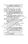์ศิริ เจริญวัย. (2521). ควา**มสัมพันธ์ระหว่างพฤติกรรมผู้นำกับผลงานของวิทยาลัยคร**ู ในภาคตะวันออกเฉียงเหนือ, วิทยานิพนธ์ปริญญามหาบัณฑิต ภาควิชาการบริหารการศึกษา บัณฑิตวิทยาลัย มหาวิทยาลัยศรีนครินทรวิโรฒ ประสานมิตร

ศิริอร ขันธหัตถ์, (2531), องค์การและการจัดการ, กรุงเทพฯ :อักษรบัณฑิต, ติวพร มัณฑุกานนท์ . (2527). การบริหารงานบุคคล. กรุงเทพฯ : กุณพินอักษร. สงวน สุทธิเลิศอรุณ (2523). **การบริหารการศึกษา.** กรุงเทพฯ : ชัยศิริการพิมพ์. ลม มั่งคั่ง. (2532). **ความสัมพันธ์ระหว่างแบบผู้นำของผู้บริหารโรงเรียน**กับบรรยากาศ องค์การของโรงเรียนมัธยมศึกษา สังกัดกรมสามัญศึกษา เขตการศึกษา 6. วิทยานิพนธ์ปริญญามหาบัณฑิต ภาควิชาบริหารการศึกษา บัณฑิตวิทยาลัยิ์ จุฬาลงกรณ์มหาวิทยาลัย.

หมชาติ สุดสาคร. (2536). องค์การและความพึงพอใจในการปฏิบัติงางชองครู ในโรงเรียน ป**ระถมศึกษาสังกัดสำนักงานการประถมศึกษ**ศ อิทยานิพนธ์ปริญญามหาบัณฑิต ภาควิชาการบริหารการศึกษา บัณฑิตวิทยุรลัย มหาชิทยาลัยบูรพา.

สมพงษ์ เกษมสิน. (2521). การบริหาร กรุงเทพิซุ ไทยวัฒนาพาณิช.

สมพงษ์ ลัพกิตโร. (2531). การศึกษาชลิติกรัฐมผู้นำของผู้บริหารโรงเรียนตามศจาน ของครอาจารย์โรงเจียหิประทิมศึกษา สังกัดสำนักงานการประถมศึกษา จังหวัดส่งของ, วิทยานิพนธ์ปริญญามหาบัณฑิต ภาควิสตกังจบริหารการศึกษา บัณฑิตว์ทยาลัย มหาวิทยาลัยศรีนครินทรวิโรณ สงขลา

สมยุค นาวีกลี (2521): ภารพัฒนาองค์การและการจูงใจ) พิมพ์ครั้งที่ 2 : ดวงกมลการพิมพ์. ) (2522). การบริหาร. กรุงเทพิมพิวแต๊ร : กรุงสยามการพิมพ์.

(2525) การวัดในการจัดงานบุคคล. พิมพ์ครั้งที่ 2 กรุงเทพมหานคร :<br>เหมายการพิมพ์ อะมีนี้ไป สมหมายการพิมพ์ (<sup>38</sup>3)

สุนันทา เลาหพันธ์. (2534) การพัฒนาองค์การ. กรุงเทพมหานคร : โรงพิมพ์รุ่งวัฒนา. สุรชาติ สังข์รุ่ง. (2520) คั่วกุ้มสัมพันธ์ระหว่างพฤติกรรมผู้นำกับความพึงพอใจใน กำรุงกจานของครูโรงเรียนประถมศึกษา สังกัดองค์การบริหารส่วนจังหวัด

ันละเทศบา<mark>ล ในเขตภาคกลาง.</mark> วิทยานิพนธ์ปริญญามหาบัณฑิต ภาควิชาการบริหารการศึกษา บัณฑิตวิทยาลัย มหาวิทยาลัยศรีนครินทรวิโรฒ ประสานมิตร.

เสริมศักดิ์ วิศาลาภรณ์. (2520). **สุขภาพจิตเบื้องต้น.** สงขลา : แผนกเอกลารการพิมพ์ มหาวิทยาลัยศรีครินทรวิโรฒสงขลา.

โสภา ชูพิกุลชัย และคณะ. (2515) **จิตวิทยาสังคม**. กรุงเทพมหานคร. มหาวิทยาลัยรามคำแหง.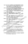หาญชัย สงวนให้ (2519). ความสัมพันธ์ระหว่างพฤติกรรมผู้นำของผู้บริหาร วิทยาลัยครู กับบรรยากาศองค์การ วิทยานิพนธ์ปริญญามหาบัณฑิต ภาควิชาการบริหาร การศึกษา บัณฑิตวิทยาลัย มหาวิทยาลัยศรีนครินทรวิโรฒประสานมิตร..

อนันต์ นามทองต้น, (2534), **บรรยากาศในโรงเรียนประถมศึกษา สังกัดสำนักงาน** การประถมศึกษาอำเภอคอนสาร จังหวัดชัยภูมิ, วิทยานิพนธ์ปริญญามหาบัณฑิต

ภาควิชาการบริหารการศึกษา บัณฑิตวิทยาลัย มหาวิทยาลัยนเรศวร.

- อรุณ รักธรรม. (2523). กา**รพัฒนาองค์**การ : การ**สร้างและการพัฒนาการทำงานเป็นทีม.** กรุงเทพฯ : แสงรุ่งการพิมพ์.
- อุทัย หิรัญโต. (2520). **ศิลปศาสตร์ของนักบริหาร.** กรุงเทพฯ : โอเดียนสโตร์.

เอกชัย กี่สุข. (2527). **หลักบริหารการศึกษาทั่วไป. พิมพ์ครั้งที่ 2**. กรุงเทพฯ : ฮนิงค์ดิลง การพิมพ์.

Anderson, Donald P. (1964). "Oganizational Climate of Elementary School," Research Monograph No.1 Minneapolis: Educational Research and Development Council of the Twin Cities Metropolitan Area. 13-6.

Bassou, El. Mansour. (1989). "A study of School Organizational Climate in The State of Indiana." Dissertation Abstracts International. Vol. 49 No.7 (January : 1627 A - 1628A.

Cook Edward Vance (1966) Leadership Behavior of Elementary School Principals and the Organizational Climate of the School Which Administer, "Dissertation Abstracts International. Vol.27, No.2, p. 345 - A.

Halpin, andrew W. (1966) Theory and Recearch in Administration. New York: The Momillam.

Nersey, Paul and Kenneth H. Blanchard. (1982). Management of Organization Behavior Utilizting Ruman Resourcess. 4 th ed. Englewook Cliffs, New Jersey: Prentice Hall

Likert, Rensis New Pattern of Management. New York: McGraw - Hill Book, Co.

Mikles **E. (1970)** School Climate and Program Development Selected Reading In Education Adminstration. Edmonton, canads: Department of Educational Administration, The University of Alberta.

Tannenbuamand, Robert and Warren H. Schmidt. (1961). Leadership and Organization. New York: McGraw - Hill Book Company.